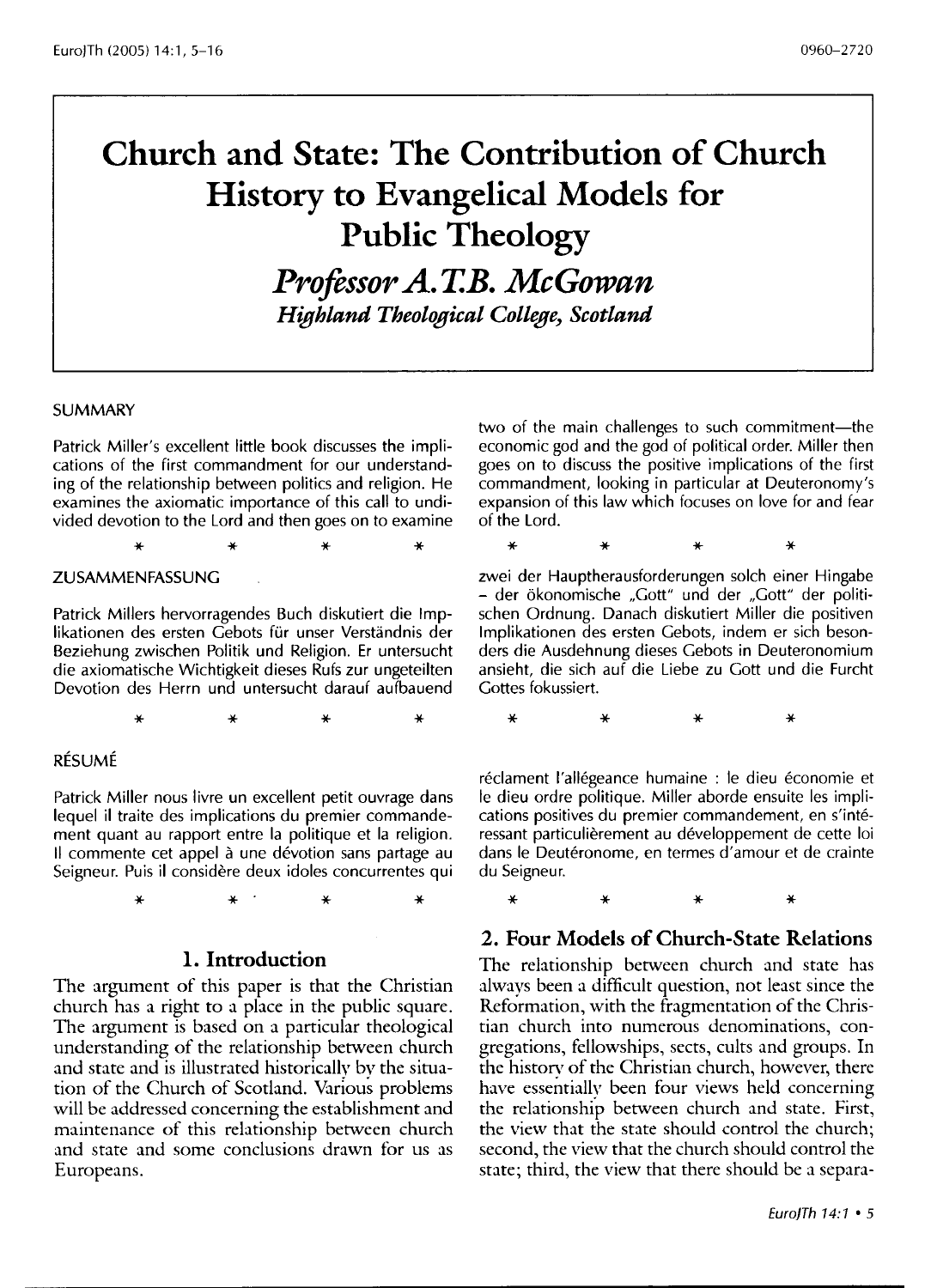# **Church and State: The Contribution of Church History to Evangelical Models for Public Theology**

*Professor A. T.B. McGowan Highland Theological College, Scotland* 

#### SUMMARY

Patrick Miller's excellent little book discusses the implications of the first commandment for our understanding of the relationship between politics and religion. He examines the axiomatic importance of this call to undivided devotion to the Lord and then goes on to examine

\* \* \* \*

#### ZUSAMMENFASSUNG

Patrick Millers hervorragendes Buch diskutiert die Implikationen des ersten Gebots für unser Verständnis der Beziehung zwischen Politik und Religion. Er untersucht die axiomatische Wichtigkeit dieses Rufs zur ungeteilten Devotion des Herrn und untersucht darauf aufbauend

\* \* \* \*

### RÉSUMÉ

Patrick Miller nous livre un excellent petit ouvrage dans lequel il traite des implications du premier commandement quant au rapport entre la politique et la religion. Il commente cet appel à une dévotion sans partage au Seigneur. Puis il considere deux idoles concurrentes qui

\* \* \* \* \*

#### **1. Introduction**

The argument of this paper is that the Christian church has a right to a place in the public square. The argument is based on a particular theological understanding of the relationship between church and state and is illustrated historically by the situation of the Church of Scotland. Various problems will be addressed concerning the establishment and maintenance of this relationship between church and state and some conclusions drawn for us as Europeans.

two of the main challenges to such commitment-the economic god and the god of political order. Miller then goes on to discuss the positive implications of the first commandment, looking in particular at Deuteronomy's expansion of this law which focuses on love for and fear of the Lord.

\* \* \* \*

zwei der Hauptherausforderungen solch einer Hingabe - der ökonomische "Gott" und der "Gott" der politischen Ordnung. Danach diskutiert Miller die positiven Implikationen des ersten Gebots, indem er sich besonders die Ausdehnung dieses Gebots in Deuteronomium ansieht, die sich auf die Liebe zu Gott und die Furcht Gottes fokussiert.

\* \* \* \*

réclament l'allégeance humaine : le dieu économie et le dieu ordre politique. Miller aborde ensuite les implications positives du premier commandement, en s'interessant particulièrement au développement de cette loi dans le Deutéronome, en termes d'amour et de crainte du Seigneur.

\* \* \* \*

## **2. Four Models of Church-State Relations**

The relationship between church and state has always been a difficult question, not least since the Reformation, with the fragmentation of the Christian church into numerous denominations, congregations, fellowships, sects, cults and groups. In the history of the Christian church, however, there have essentially been four views held concerning the relationship between church and state. First, the view that the state should control the church; second, the view that the church should control the state; third, the view that there should be a separa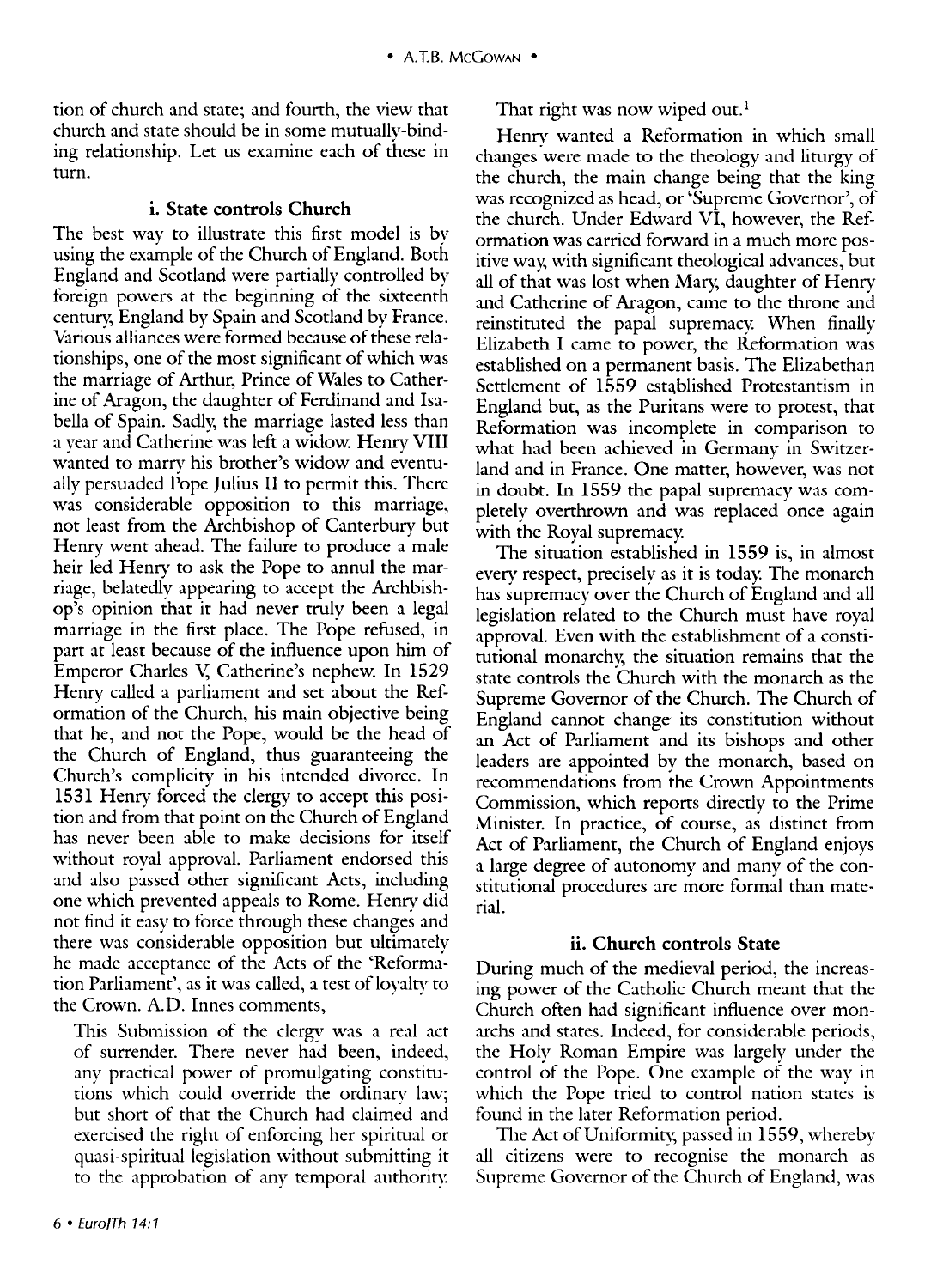tion of church and state; and fourth, the view that church and state should be in some mutually-binding relationship. Let us examine each of these in turn.

#### i. State controls Church

The best way to illustrate this first model is by using the example of the Church of England. Both England and Scotland were partially controlled by foreign powers at the beginning of the sixteenth century, England by Spain and Scotland by France. Various alliances were formed because of these relationships, one of the most significant of which was the marriage of Arthur, Prince of Wales to Catherine of Aragon, the daughter of Ferdinand and Isabella of Spain. Sadly, the marriage lasted less than a year and Catherine was left a widow. Henry VIII wanted to marry his brother's widow and eventually persuaded Pope Julius II to permit this. There was considerable opposition to this marnage, not least from the Archbishop of Canterbury but Henry went ahead. The failure to produce a male heir led Henry to ask the Pope to annul the marriage, belatedly appearing to accept the Archbishop's opinion that it had never truly been a legal marriage in the first place. The Pope refused, in part at least because of the influence upon him of Emperor Charles V, Catherine's nephew. In 1529 Henry called a parliament and set about the Reformation of the Church, his main objective being that he, and not the Pope, would be the head of the Church of England, thus guaranteeing the Church's complicity in his intended divorce. In 1531 Henry forced the clergy to accept this position and from that point on the Church of England has never been able to make decisions for itself without royal approval. Parliament endorsed this and also passed other significant Acts, including one which prevented appeals to Rome. Henry did not find it easy to force through these changes and there was considerable opposition but ultimately he made acceptance of the Acts of the 'Reformation Parliament', as it was called, a test of loyalty to the Crown. A.D. Innes comments,

This Submission of the clergy was a real act of surrender. There never had been, indeed, any practical power of promulgating constitutions which could override the ordinary law; but short of that the Church had claimed and exercised the right of enforcing her spiritual or quasi-spiritual legislation without submitting it to the approbation of any temporal authority. That right was now wiped out.<sup>1</sup>

Henrv wanted a Reformation in which small changes 'were made to the theology and liturgy of the church, the main change being that the king was recognized as head, or 'Supreme Governor', of the church. Under Edward VI, however, the Reformation was carried forward in a much more positive way, with significant theological advances, but all of that was lost when Mary, daughter of Henry and Catherine of Aragon, came to the throne and reinstituted the papal supremacy. When finally Elizabeth I came to power, the Reformation was established on a permanent basis. The Elizabethan Settlement of 1559 established Protestantism in England but, as the Puritans were to protest, that Reformation was incomplete in comparison to what had been achieved in Germany in Switzerland and in France. One matter, however, was not in doubt. In 1559 the papal supremacy was completely overthrown and was replaced once again with the Royal supremacy.

The situation established in 1559 is, in almost every respect, precisely as it is today. The monarch has supremacy over the Church of England and all legislation related to the Church must have royal approval. Even with the establishment of a constitutional monarchy, the situation remains that the state controls the Church with the monarch as the Supreme Governor of the Church. The Church of England cannot change its constitution without an Act of Parliament and its bishops and other leaders are appointed by the monarch, based on recommendations from the Crown Appointments Commission, which reports directly to the Prime Minister. In practice, of course, as distinct from Act of Parliament, the Church of England enjoys a large degree of autonomy and many of the constitutional procedures are more formal than material.

### ii. Church controls State

During much of the medieval period, the increasing power of the Catholic Church meant that the Church often had significant influence over monarchs and states. Indeed, for considerable periods, the Holv Roman Empire was largely under the control of the Pope. One example of the way in which the Pope tried to control nation states is found in the later Reformation period.

The Act of Uniformity, passed in 1559, whereby all citizens were to recognise the monarch as Supreme Governor of the Church of England, was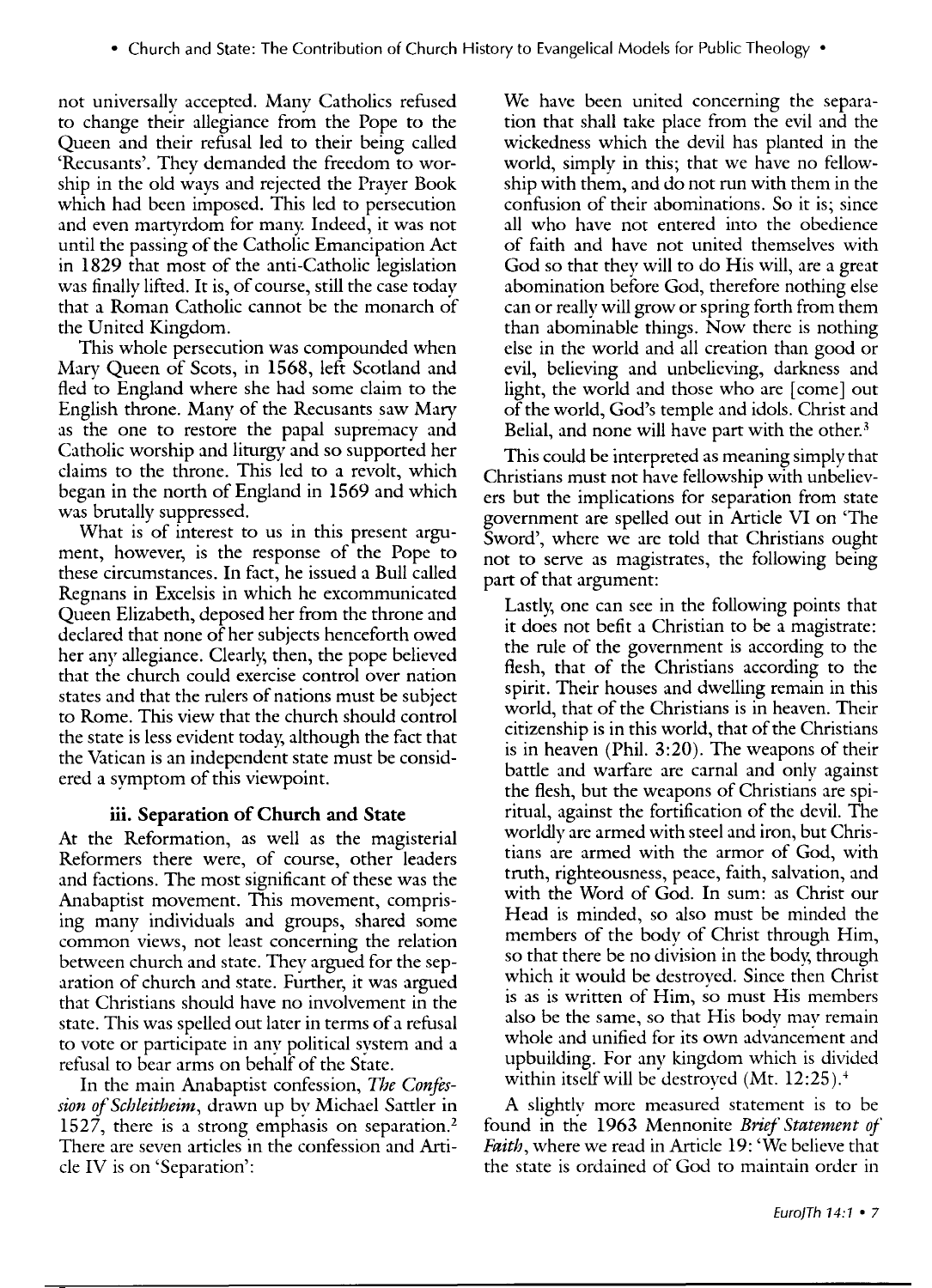not universally accepted. Many Catholics refused to change their allegiance from the Pope to the Queen and their refusal led to their being called 'Recusants'. They demanded the freedom to worship in the old ways and rejected the Prayer Book which had been imposed. This led to persecution and even martyrdom for many. Indeed, it was not until the passing of the Catholic Emancipation Act in 1829 that most of the anti-Catholic legislation was finally lifted. It is, of course, still the case today that a Roman Catholic cannot be the monarch of the United Kingdom.

This whole persecution was compounded when Mary Queen of Scots, in 1568, left Scotland and fled to England where she had some claim to the English throne. Many of the Recusants saw Mary as the one to restore the papal supremacy and Catholic worship and liturgy and so supported her claims to the throne. This led to a revolt, which began in the north of England in 1569 and which was brutally suppressed.

What is of interest to us in this present argument, however, is the response of the Pope to these circumstances. In fact, he issued a Bull called Regnans in Excelsis in which he excommunicated Queen Elizabeth, deposed her from the throne and declared that none of her subjects henceforth owed her any allegiance. Clearly, then, the pope believed that the church could exercise control over nation states and that the rulers of nations must be subject to Rome. This view that the church should control the state is less evident today, although the fact that the Vatican is an independent state must be considered a symptom of this viewpoint.

## iii. Separation of Church and State

At the Reformation, as well as the magisterial Reformers there were, of course, other leaders and factions. The most significant of these was the Anabaptist movement. This movement, comprising many individuals and groups, shared some common views, not least concerning the relation between church and state. They argued for the separation of church and state. Further, it was argued that Christians should have no involvement in the state. This was spelled out later in terms of a refusal to vote or participate in any political system and a refusal to bear arms on behalf of the State.

In the main Anabaptist confession, *The Conftssion of Schleitheim*, drawn up by Michael Sattler in 1527, there is a strong emphasis on separation.<sup>2</sup> There are seven articles in the confession and Article IV is on 'Separation':

We have been united concerning the separation that shall take place from the evil and the wickedness which the devil has planted in the world, simply in this; that we have no fellowship with them, and do not run with them in the confusion of their abominations. So it is; since all who have not entered into the obedience of faith and have not united themselves with God so that they will to do His will, are a great abomination before God, therefore nothing else can or really will grow or spring forth from them than abominable things. Now there is nothing else in the world and all creation than good or evil, believing and unbelieving, darkness and light, the world and those who are [come] out of the world, God's temple and idols. Christ and Belial, and none will have part with the other. $3$ 

This could be interpreted as meaning simply that Christians must not have fellowship with unbelievers but the implications for separation from state government are spelled out in Article VI on 'The Sword', where we are told that Christians ought not to serve as magistrates, the following being part of that argument:

Lastly, one can see in the following points that it does not befit a Christian to be a magistrate: the rule of the government is according to the flesh, that of the Christians according to the spirit. Their houses and dwelling remain in this world, that of the Christians is in heaven. Their citizenship is in this world, that of the Christians is in heaven (Phil. 3:20). The weapons of their battle and warfare are carnal and only against the flesh, but the weapons of Christians are spiritual, against the fortification of the devil. The worldly are armed with steel and iron, but Christians are armed with the armor of God, with truth, righteousness, peace, faith, salvation, and with the Word of God. In sum: as Christ our Head is minded, so also must be minded the members of the body of Christ through Him, so that there be no division in the body, through which it would be destroved. Since then Christ is as is written of Him, so must His members also be the same, so that His body mav remain whole and unified for its own advancement and upbuilding. For any kingdom which is divided within itself will be destroyed  $(Mt. 12:25).<sup>4</sup>$ 

A slightly more measured statement is to be found in the 1963 Mennonite *Brief Statement of Faith,* where we read in Article 19: 'We believe that the state is ordained of God to maintain order in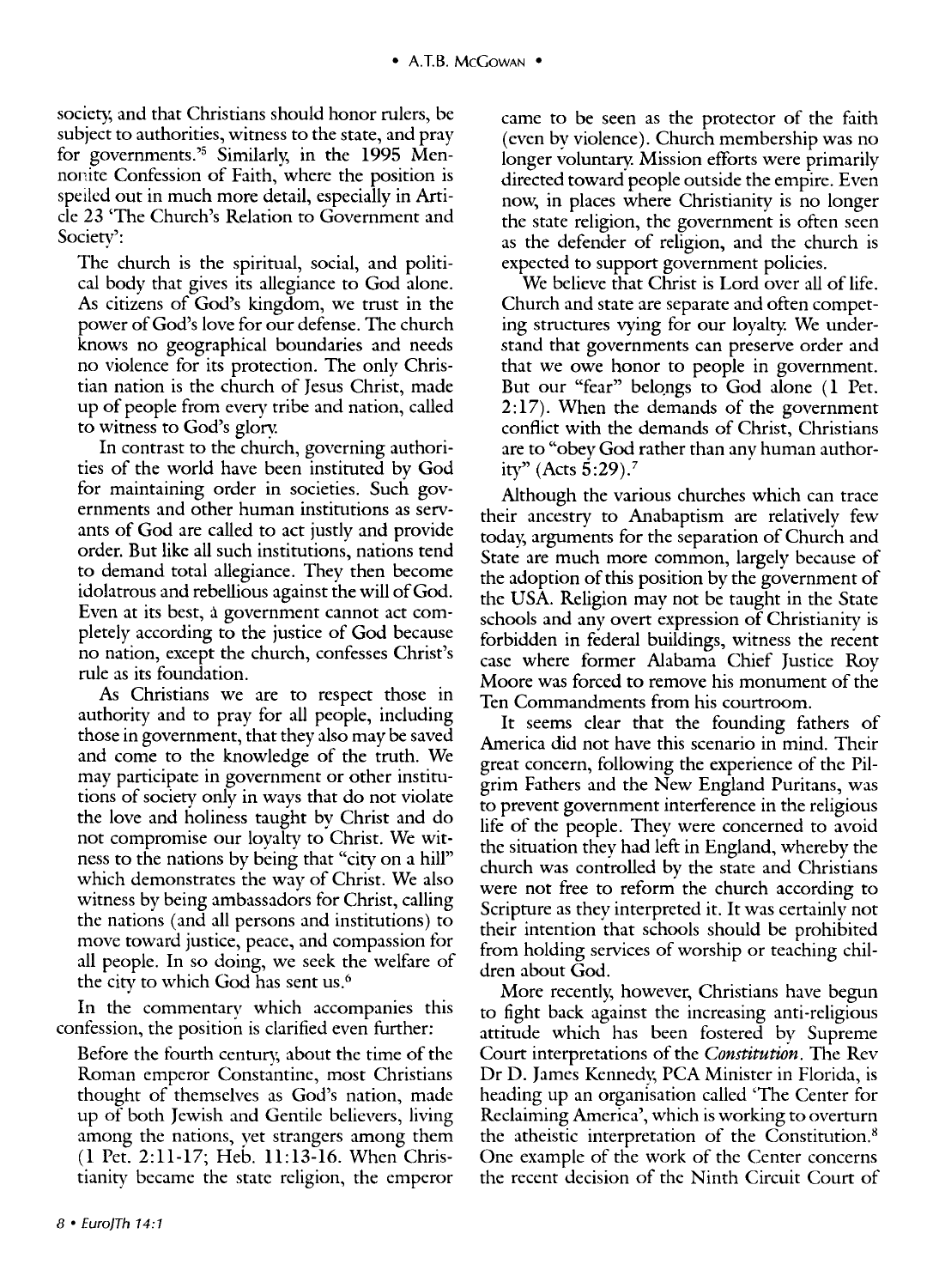society, and that Christians should honor rulers, be subject to authorities, witness to the state, and pray for governments.'5 Similarly, in the 1995 Mennonite Confession of Faith, where the position is speiled out in much more detail, especially in Article 23 'The Church's Relation to Government and Society':

The church is the spiritual, social, and political body that gives its allegiance to God alone. As citizens of God's kingdom, we trust in the power of God's love for our defense. The church knows no geographical boundaries and needs no violence for its protection. The only Christian nation is the church of Jesus Christ, made up of people from every tribe and nation, called to witness to God's glory.

In contrast to the church, governing authorities of the world have been instituted by God for maintaining order in societies. Such governments and other human institutions as servants of God are called to act justly and provide order. But like all such institutions, nations tend to demand total allegiance. They then become idolatrous and rebellious against the will of God. Even at its best, a government cannot act completely according to the justice of God because no nation, except the church, confesses Christ's rule as its foundation.

As Christians we are to respect those in authority and to pray for all people, including those in government, that they also may be saved and come to the knowledge of the truth. We may participate in government or other institutions of society only in ways that do not violate the love and holiness taught by Christ and do not compromise our loyalty to Christ. We witness to the nations by being that "city on a hill" which demonstrates the way of Christ. We also witness by being ambassadors for Christ, calling the nations (and all persons and institutions) to move toward justice, peace, and compassion for all people. In so doing, we seek the welfare of the city to which God has sent us. <sup>6</sup>

In the commentary which accompanies this confession, the position is clarified even further:

Before the fourth century, about the time of the Roman emperor Constantine, most Christians thought of themselves as God's nation, made up of both Jewish and Gentile believers, living among the nations, yet strangers among them (1 Pet. 2:11-17; Heb. 11:13-16. When Christianity became the state religion, the emperor

came to be seen as the protector of the faith (even by violence). Church membership was no longer voluntary. Mission efforts were primarily directed toward people outside the empire. Even now, in places where Christianity is no longer the state religion, the government is often seen as the defender of religion, and the church is expected to support government policies.

We believe that Christ is Lord over all of life. Church and state are separate and often competing structures vying for our loyalty. We understand that governments can preserve order and that we owe honor to people in government. But our "fear" belongs to God alone (1 Pet. 2: 17). When the demands of the government conflict with the demands of Christ, Christians are to "obey God rather than any human authority" (Acts  $5:29$ ).<sup>7</sup>

Although the various churches which can trace their ancestry to Anabaptism are relatively few today, arguments for the separation of Church and State are much more common, largely because of the adoption of this position by the government of the USA. Religion may not be taught in the State schools and any overt expression of Christianity is forbidden in federal buildings, witness the recent case where former Alabama Chief Justice Roy Moore was forced to remove his monument of the Ten Commandments from his courtroom.

It seems clear that the founding fathers of America did not have this scenario in mind. Their great concern, following the experience of the Pilgrim Fathers and the New England Puritans, was to prevent government interference in the religious life of the people. They were concerned to avoid the situation they had left in England, whereby the church was controlled by the state and Christians were not free to reform the church according to Scripture as they interpreted it. It was certainly not their intention that schools should be prohibited from holding services of worship or teaching children about God.

More recently, however, Christians have begun to fight back against the increasing anti-religious attitude which has been fostered by Supreme Court interpretations of the *Constitution.* The Rev Dr D. James Kennedy, PCA Minister in Florida, is heading up an organisation called 'The Center for Reclaiming America', which is working to overturn the atheistic interpretation of the Constitution. <sup>8</sup> One example of the work of the Center concerns the recent decision of the Ninth Circuit Court of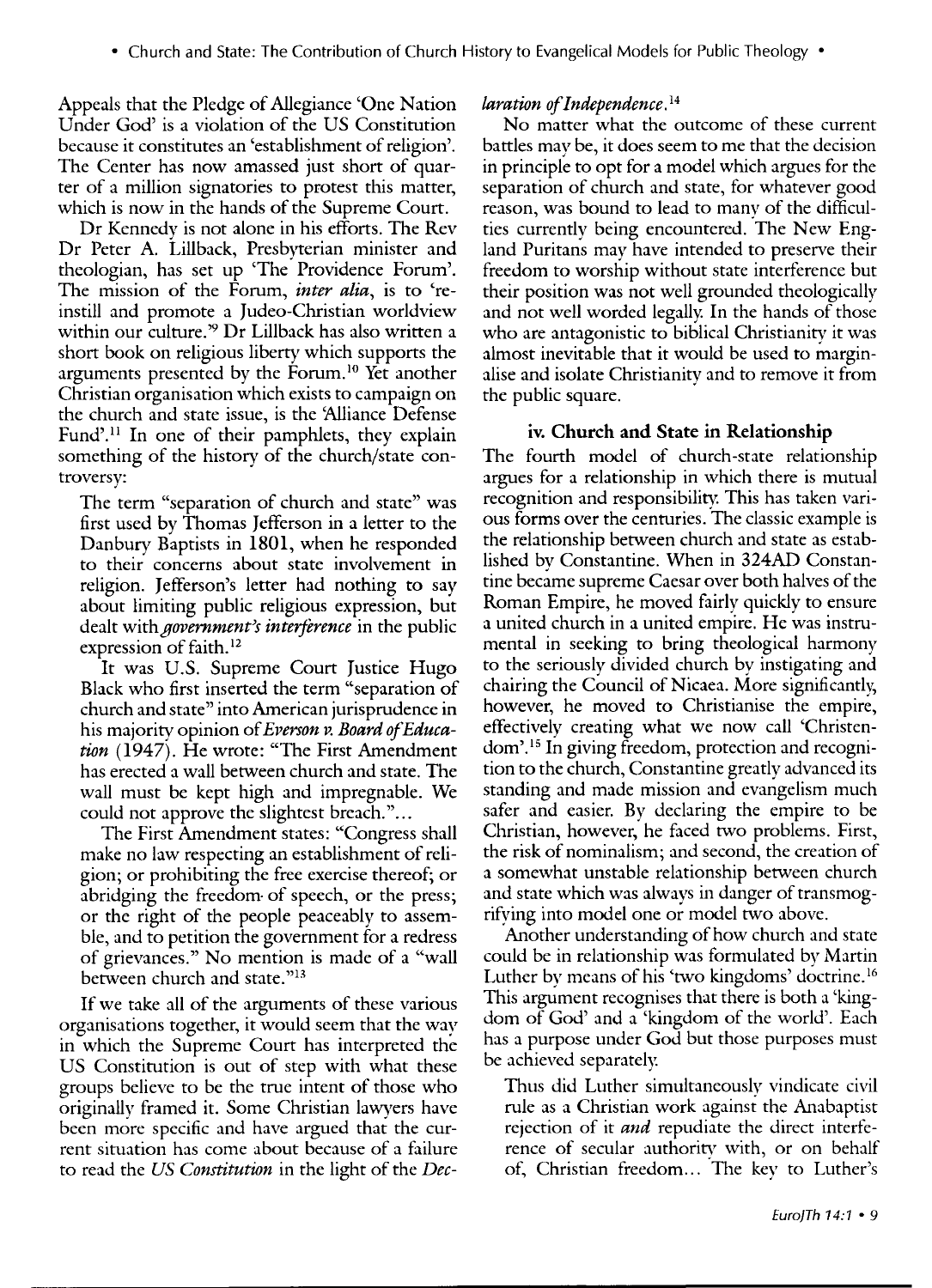Appeals that the Pledge of Allegiance 'One Nation Under God' is a violation of the US Constitution because it constitutes an 'establishment of religion'. The Center has now amassed just short of quarter of a million signatories to protest this matter, which is now in the hands of the Supreme Court.

Dr Kennedy is not alone in his efforts. The Rev Dr Peter A. Lillback, Presbyterian minister and theologian, has set up 'The Providence Forum'. The mission of the Forum, *inter alia,* is to 'reinstill and promote a Judeo-Christian worldview within our culture. '9 Dr Lillback has also written a short book on religious liberty which supports the arguments presented by the Forum.<sup>10</sup> Yet another Christian organisation which exists to campaign on the church and state issue, is the Alliance Defense Fund'.<sup>11</sup> In one of their pamphlets, they explain something of the history of the church/state controversy:

The term "separation of church and state" was first used by Thomas Jefferson in a letter to the Danbury Baptists in 1801, when he responded to their concerns about state involvement in religion. Jefferson's letter had nothing to say about limiting public religious expression, but dealt *withgovernment)s interference* in the public expression of faith.<sup>12</sup>

It was U.S. Supreme Court Justice Hugo Black who first inserted the term "separation of church and state" into American jurisprudence in his majority opinion of *Everson v. Board ofEducation* (1947). He wrote: "The First Amendment has erected a wall between church and state. The wall must be kept high and impregnable. We could not approve the slightest breach."...

The First Amendment states: "Congress shall make no law respecting an establishment of religion; or prohibiting the free exercise thereof; or abridging the freedom of speech, or the press; or the right of the people peaceably to assemble, and to petition the government for a redress of grievances." No mention is made of a "wall between church and state."<sup>13</sup>

If we take all of the arguments of these various organisations together, it would seem that the way in which the Supreme Court has interpreted the US Constitution is out of step with what these groups believe to be the true intent of those who originally framed it. Some Christian lawyers have been more specific and have argued that the current situation has come about because of a failure to read the *US Constitution* in the light of the *Dec-*

#### *laration of Independence* .14

No matter what the outcome of these current battles may be, it does seem to me that the decision in principle to opt for a model which argues for the separation of church and state, for whatever good reason, was bound to lead to many of the difficulties currently being encountered. The New England Puritans may have intended to preserve their freedom to worship without state interference but their position was not well grounded theologically and not well worded legally. In the hands of those who are antagonistic to biblical Christianity it was almost inevitable that it would be used to marginalise and isolate Christianity and to remove it from the public square.

#### iv. Church and State in Relationship

The fourth model of church-state relationship argues for a relationship in which there is mutual recognition and responsibility. This has taken various forms over the centuries. The classic example is the relationship between church and state as established by Constantine. When in 324AD Constantine became supreme Caesar over both halves of the Roman Empire, he moved fairly quickly to ensure a united church in a united empire. He was instrumental in seeking to bring theological harmony to the seriously divided church by instigating and chairing the Council of Nicaea. More significantly, however, he moved to Christianise the empire, effectively creating what we now call 'Christendom'.15 In giving freedom, protection and recognition to the church, Constantine greatly advanced its standing and made mission and evangelism much safer and easier. By declaring the empire to be Christian, however, he faced two problems. First, the risk of nominalism; and second, the creation of a somewhat unstable relationship between church and state which was always in danger of transmogrifying into model one or model two above.

Another understanding of how church and state could be in relationship was formulated by Martin Luther by means of his 'two kingdoms' doctrine. 16 This argument recognises that there is both a 'kingdom of God' and a 'kingdom of the world'. Each has a purpose under God but those purposes must be achieved separately.

Thus did Luther simultaneously vindicate civil rule as a Christian work against the Anabaptist rejection of it *and* repudiate the direct interference of secular authority with, or on behalf of, Christian freedom... The key to Luther's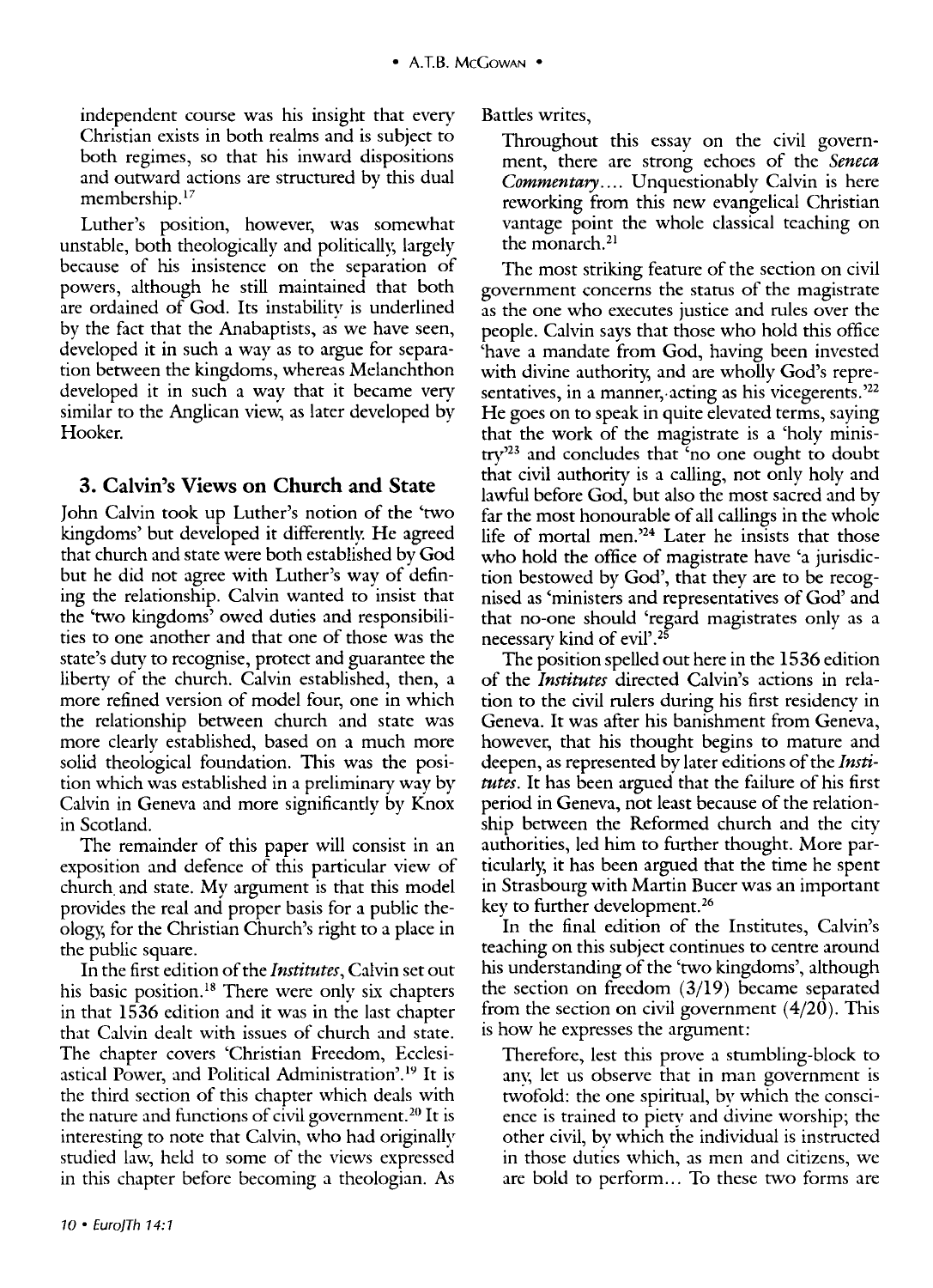independent course was his insight that every Christian exists in both realms and is subject to both regimes, so that his inward dispositions and outward actions are structured by this dual membership. 17

Luther's position, however, was somewhat unstable, both theologically and politically, largely because of his insistence on the separation of powers, although he still maintained that both are ordained of God. Its instability is underlined by the fact that the Anabaptists, as we have seen, developed it in such a way as to argue for separation between the kingdoms, whereas Melanchthon developed it in such a way that it became very similar to the Anglican view, as later developed by Hooker.

## **3. Calvin's Views on Church and State**

John Calvin took up Luther's notion of the 'two kingdoms' but developed it differently. He agreed that church and state were both established by God but he did not agree with Luther's way of defining the relationship. Calvin wanted to insist that the 'two kingdoms' owed duties and responsibilities to one another and that one of those was the state's duty to recognise, protect and guarantee the liberty of the church. Calvin established, then, a more refined version of model four, one in which the relationship between church and state was more clearly established, based on a much more solid theological foundation. This was the position which was established in a preliminary way by Calvin in Geneva and more significantly by Knox in Scotland.

The remainder of this paper will consist in an exposition and defence of this particular view of church. and state. My argument is that this model provides the real and proper basis for a public theology, for the Christian Church's right to a place in the public square.

In the first edition of the *Institutes,* Calvin set out his basic position.<sup>18</sup> There were only six chapters in that 1536 edition and it was in the last chapter that Calvin dealt with issues of church and state. The chapter covers 'Christian Freedom, Ecclesiastical Power, and Political Administration'.19 It is the third section of this chapter which deals with the nature and functions of civil government.<sup>20</sup> It is interesting to note that Calvin, who had originally studied law, held to some of the views expressed in this chapter before becoming a theologian. As

Battles writes,

Throughout this essay on the civil government, there are strong echoes of the *Seneca Commentary ....* Unquestionably Calvin is here reworking from this new evangelical Christian vantage point the whole classical teaching on the monarch.<sup>21</sup>

The most striking feature of the section on civil government concerns the status of the magistrate as the one who executes justice and rules over the people. Calvin says that those who hold this office 'have a mandate from God, having been invested with divine authority, and are wholly God's representatives, in a manner, acting as his vicegerents.<sup>222</sup> He goes on to speak in quite elevated terms, saying that the work of the magistrate is a 'holy ministry'23 and concludes that 'no one ought to doubt that civil authority is a calling, not only holy and lawful before God, but also the most sacred and by far the most honourable of all callings in the whole life of mortal men.'24 Later he insists that those who hold the office of magistrate have 'a jurisdiction bestowed by God', that they are to be recognised as 'ministers and representatives of God' and that no-one should 'regard magistrates only as a necessary kind of evil'. 25

The position spelled out here in the 1536 edition of the *Institutes* directed Calvin's actions in relation to the civil rulers during his first residency in Geneva. It was after his banishment from Geneva, however, that his thought begins to mature and deepen, as represented by later editions of the *Institutes.* It has been argued that the failure of his first period in Geneva, not least because of the relationship between the Reformed church and the city authorities, led him to further thought. More particularly, it has been argued that the time he spent in Strasbourg with Martin Bucer was an important key to further development.26

In the final edition of the Institutes, Calvin's teaching on this subject continues to centre around his understanding of the 'two kingdoms', although the section on freedom (3/19) became separated from the section on civil government (4/20). This is how he expresses the argument:

Therefore, lest this prove a stumbling-block to any, let us observe that in man government is twofold: the one spiritual, by which the conscience is trained to piety and divine worship; the other civil, by which the individual is instructed in those duties which, as men and citizens, we are bold to perform... To these two forms are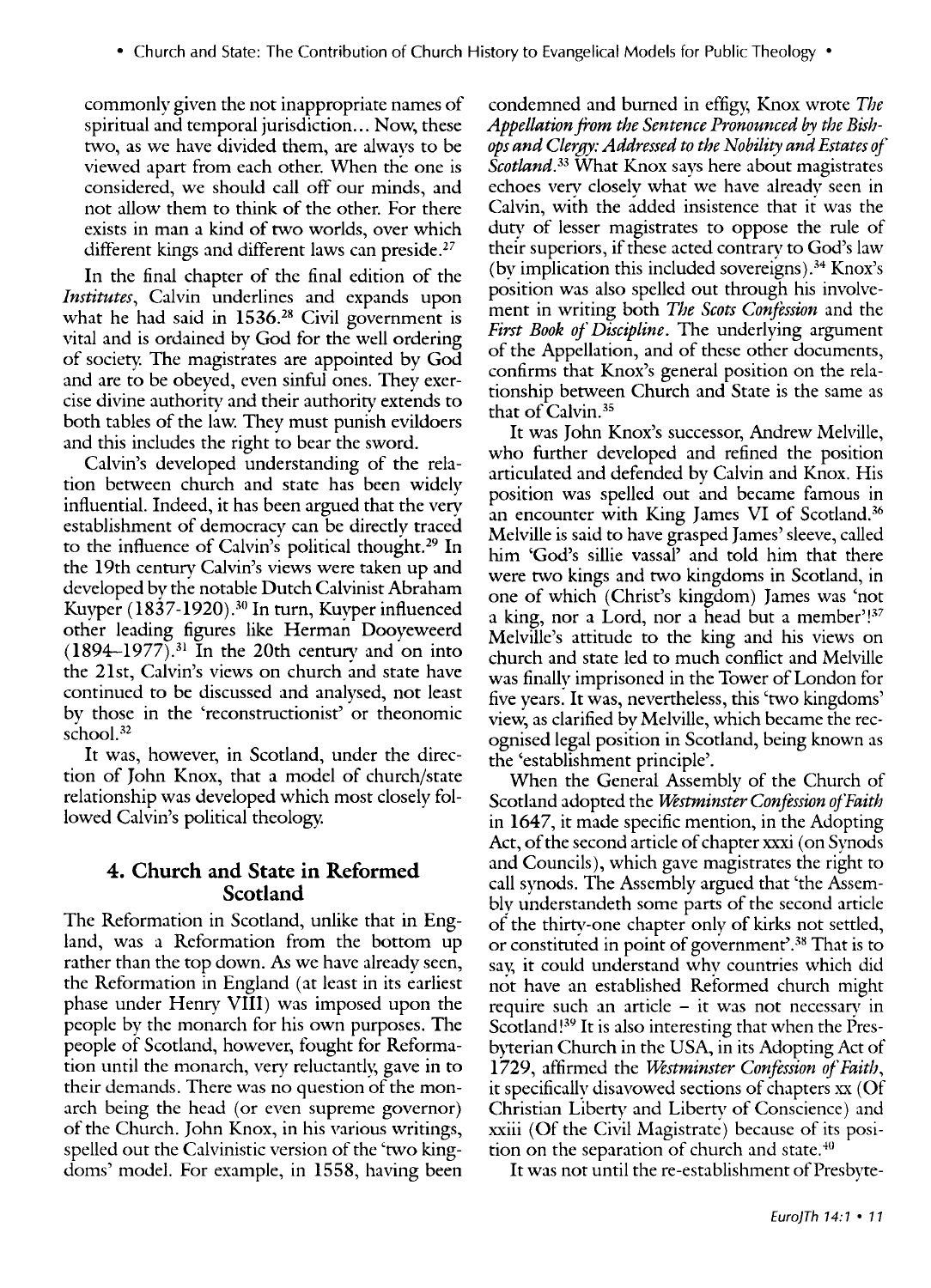commonly given the not inappropriate names of spiritual and temporal jurisdiction... Now, these two, as we have divided them, are always to be viewed apart from each other. When the one is considered, we should call off our minds, and not allow them to think of the other. For there exists in man a kind of two worlds, over which different kings and different laws can preside.<sup>27</sup>

**In** the final chapter of the final edition of the *Institutes,* Calvin underlines and expands upon what he had said in 1536.<sup>28</sup> Civil government is vital and is ordained by God for the well ordering of society. The magistrates are appointed by God and are to be obeyed, even sinful ones. They exercise divine authority and their authority extends to both tables of the law. They must punish evildoers and this includes the right to bear the sword.

Calvin's developed understanding of the relation between church and state has been widely influential. Indeed, it has been argued that the very establishment of democracy can be directly traced to the influence of Calvin's political thought.<sup>29</sup> In the 19th century Calvin's views were taken up and developed by the notable Dutch Calvinist Abraham Kuyper (1837-1920).30 **In** turn, Kuyper influenced other leading figures like Herman Dooyeweerd  $(1894-1977)$ .<sup>31</sup> In the 20th century and on into the 21st, Calvin's views on church and state have continued to be discussed and analysed, not least by those in the 'reconstructionist' or theonomic school.<sup>32</sup>

It was, however, in Scotland, under the direction of John Knox, that a model of church/state relationship was developed which most closely followed Calvin's political theology.

## **4. Church and State in Reformed Scotland**

The Reformation in Scotland, unlike that in England, was a Reformation from the bottom up rather than the top down. As we have already seen, the Reformation in England (at least in its earliest phase under Henry VIII) was imposed upon the people by the monarch for his own purposes. The people of Scotland, however, fought for Reformation until the monarch, very reluctantly, gave in to their demands. There was no question of the monarch being the head (or even supreme governor) of the Church. John Knox, in his various writings, spelled out the Calvinistic version of the 'two kingdoms' model. For example, in 1558, having been

condemned and burned in effigy, Knox wrote *The Appellation from the Sentence Pronounced by the Bishops and Clergy: Addressed to the Nobility and Estates of Scotland. <sup>33</sup>*What Knox says here about magistrates echoes very closelv what we have already seen in Calvin, with the added insistence that it was the duty of lesser magistrates to oppose the rule of their superiors, if these acted contrary to God's law (by implication this included sovereigns). $34$  Knox's position was also spelled out through his involvement in writing both *The Scots Conjession* and the *First Book of Discipline.* The underlying argument of the Appellation, and of these other documents, confirms that Knox's general position on the relationship between Church and State is the same as that of Calvin. 35

It was John Knox's successor, Andrew Melville, who further developed and refined the position articulated and defended by Calvin and Knox. His position was spelled out and became famous in an encounter with King James VI of Scotland.<sup>36</sup> Melville is said to have grasped James' sleeve, called him 'God's sillie vassal' and told him that there were two kings and two kingdoms in Scotland, in one of which (Christ's kingdom) James was 'not a king, nor a Lord, nor a head but a member'!<sup>37</sup> Melville's attitude to the king and his views on church and state led to much conflict and Melville was finally imprisoned in the Tower of London for five years. It was, nevertheless, this 'two kingdoms' view, as clarified bv Melville, which became the recognised legal position in Scotland, being known as the 'establishment principle'.

When the General Assembly of the Church of Scotland adopted the *l#stminsterConjession of Faith*  in 1647, it made specific mention, in the Adopting Act, of the second article of chapter xxxi (on Synods and Councils), which gave magistrates the right to call synods. The Assembly argued that 'the Assembly understandeth some parts of the second article of the thirty-one chapter only of kirks not settled, or constituted in point of government'.38 That is to say, it could understand whv countries which did not have an established Reformed church might require such an article  $-$  it was not necessary in Scotland!<sup>39</sup> It is also interesting that when the Presbyterian Church in the USA, in its Adopting Act of 1729, affirmed the *Westminster Confession of Faith*, it specifically disavowed sections of chapters xx (Of Christian Liberty and Liberty of Conscience) and xxiii (Of the Civil Magistrate) because of its position on the separation of church and state. $40$ 

It was not until the re-establishment of Presbyte-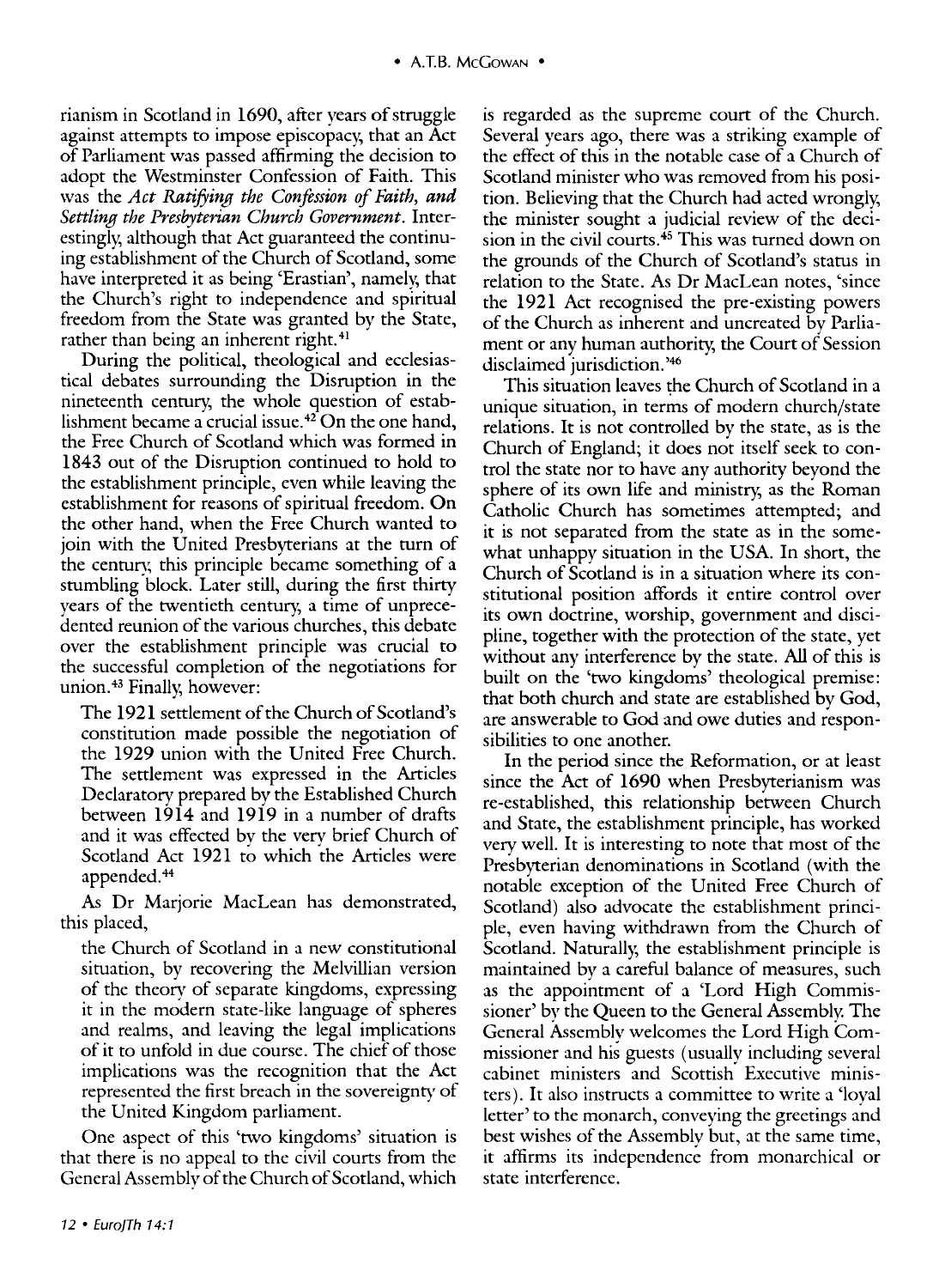rianism in Scotland in 1690, after years of struggle against attempts to impose episcopacy, that an Act of Parliament was passed affirming the decision to adopt the Westminster Confession of Faith. This was the *Act RatifYing the Confession of Faith, and Settling the Presbyterian Church Government.* Interestingly, although that Act guaranteed the continuing establishment of the Church of Scotland, some have interpreted it as being 'Erastian', namely, that the Church's right to independence and spiritual freedom from the State was granted by the State, rather than being an inherent right.<sup>41</sup>

During the political, theological and ecclesiastical debates surrounding the Disruption in the nineteenth century, the whole question of establishment became a crucial issue.<sup>42</sup> On the one hand, the Free Church of Scotland which was formed in 1843 out of the Disruption continued to hold to the establishment principle, even while leaving the establishment for reasons of spiritual freedom. On the other hand, when the Free Church wanted to join with the United Presbyterians at the turn of the century, this principle became something of a stumbling block. Later still, during the first thirty years of the twentieth century, a time of unprecedented reunion of the various churches, this debate over the establishment principle was crucial to the successful completion of the negotiations for union. 43 Finally, however:

The 1921 settlement of the Church of Scotland's constitution made possible the negotiation of the 1929 union with the United Free Church. The settlement was expressed in the Articles Declaratory prepared by the Established Church between 1914 and 1919 in a number of drafts and it was effected bv the very brief Church of Scotland Act 1921 to which the Articles were appended. <sup>44</sup>

As Dr Marjorie MacLean has demonstrated, this placed,

the Church of Scotland in a new constitutional situation, by recovering the Melvillian version of the theory of separate kingdoms, expressing it in the modern state-like language of spheres and realms, and leaving the legal implications of it to unfold in due course. The chief of those implications was the recognition that the Act represented the first breach in the sovereignty of the United Kingdom parliament.

One aspect of this 'two kingdoms' situation is that there is no appeal to the civil courts from the General Assembly of the Church of Scotland, which is regarded as the supreme court of the Church. Several years ago, there was a striking example of the effect of this in the notable case of a Church of Scotland minister who was removed from his position. Believing that the Church had acted wrongly, the minister sought a judicial review of the decision in the civil courts.<sup>45</sup> This was turned down on the grounds of the Church of Scotland's status in relation to the State. As Dr MacLean notes, 'since the 1921 Act recognised the pre-existing powers of the Church as inherent and uncreated by Parliament or any human authority, the Court of Session disclaimed jurisdiction. '46

This situation leaves the Church of Scotland in a unique situation, in terms of modern church/state relations. It is not controlled by the state, as is the Church of England; it does not itself seek to control the state nor to have any authority beyond the sphere of its own life and ministry, as the Roman Catholic Church has sometimes attempted; and it is not separated from the state as in the somewhat unhappy situation in the USA. In short, the Church of Scotland is in a situation where its constitutional position affords it entire control over its own doctrine, worship, government and discipline, together with the protection of the state, yet without any interference by the state. All of this is built on the 'two kingdoms' theological premise: that both church and state are established by God, are answerable to God and owe duties and responsibilities to one another.

In the period since the Reformation, or at least since the Act of 1690 when Presbyterianism was re-established, this relationship between Church and State, the establishment principle, has worked very well. It is interesting to note that most of the Presbyterian denominations in Scotland (with the notable exception of the United Free Church of Scotland) also advocate the establishment principle, even having withdrawn from the Church of Scotland. Naturally, the establishment principle is maintained by a careful balance of measures, such as the appointment of a 'Lord High Commissioner' by the Queen to the General Assembly. The General Assembly welcomes the Lord High Commissioner and his guests (usually including several cabinet ministers and Scottish Executive ministers). It also instructs a committee to write a 'loyal letter' to the monarch, conveying the greetings and best wishes of the Assemblv but, at the same time, it affirms its independence from monarchical or state interference.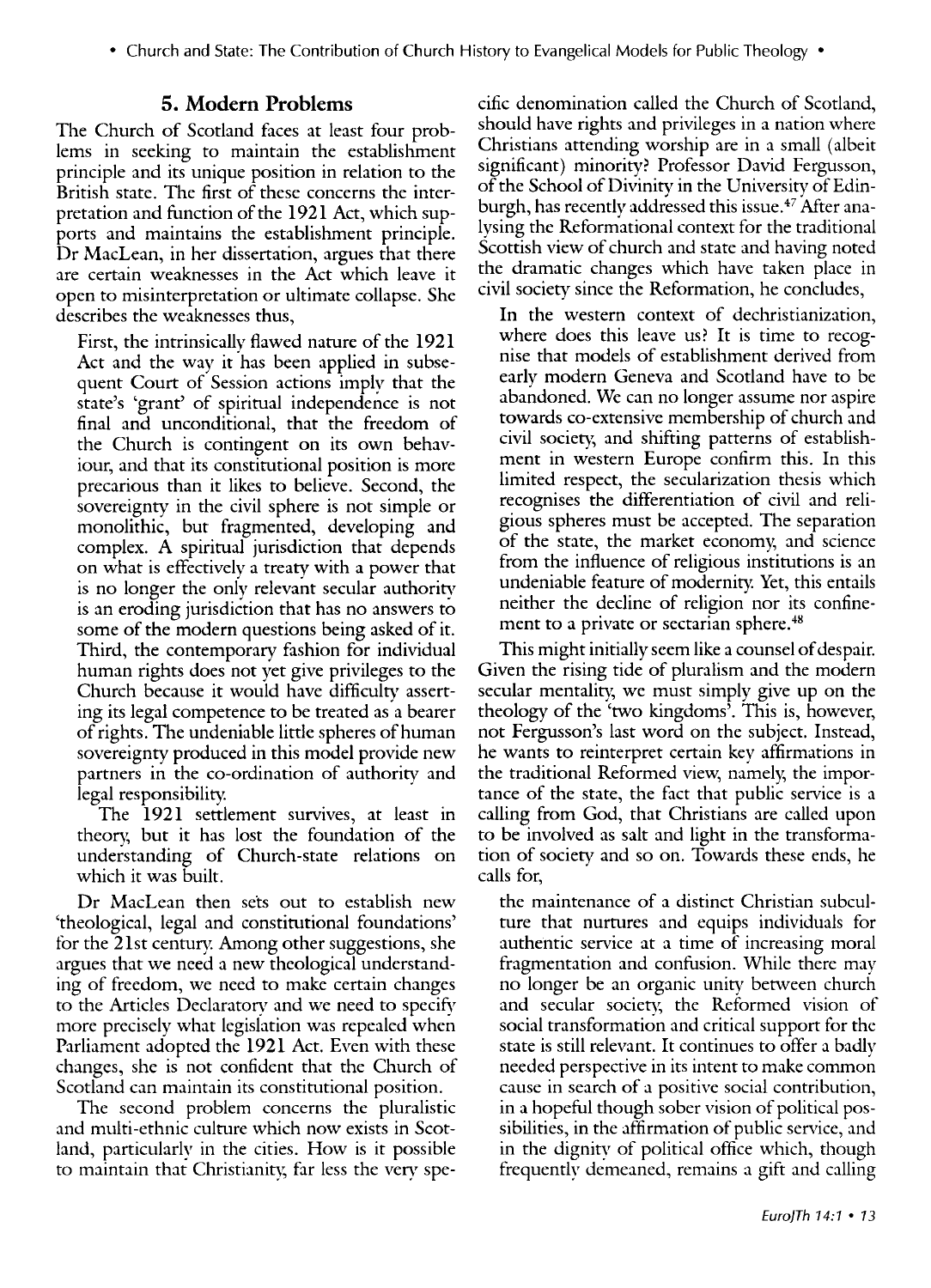## **5. Modern Problems**

The Church of Scotland faces at least four problems in seeking to maintain the establishment principle and its unique position in relation to the British state. The first of these concerns the interpretation and function of the 1921 Act, which supports and maintains the establishment principle. Dr MacLean, in her dissertation, argues that there are certain weaknesses in the Act which leave it open to misinterpretation or ultimate collapse. She describes the weaknesses thus,

First, the intrinsically flawed nature of the 1921 Act and the way it has been applied in subsequent Court of Session actions imply that the state's 'grant' of spiritual independence is not final and unconditional, that the freedom of the Church is contingent on its own behaviour, and that its constitutional position is more precarious than it likes to believe. Second, the sovereignty in the civil sphere is not simple or monolithic, but fragmented, developing and complex. A spiritual jurisdiction that depends on what is effectively a treaty with a power that is no longer the only relevant secular authority is an eroding jurisdiction that has no answers to some of the modern questions being asked of it. Third, the contemporary fashion for individual human rights does not yet give privileges to the Church because it would have difficulty asserting its legal competence to be treated as a bearer of rights. The undeniable little spheres of human sovereignty produced in this model provide new partners in the co-ordination of authority and legal responsibility.

The 1921 settlement survives, at least in theon; but it has lost the foundation of the understanding of Church-state relations on which it was built.

Dr MacLean then sets out to establish new 'theological, legal and constitutional foundations' for the 21st century. Among other suggestions, she argues that we need a new theological understanding of freedom, we need to make certain changes to the Articles Declaratory and we need to specifY more precisely what legislation was repealed when Parliament adopted the 1921 Act. Even with these changes, she is not confident that the Church of Scotland can maintain its constitutional position.

The second problem concerns the pluralistic and multi-ethnic culture which now exists in Scotland, particularly in the cities. How is it possible to maintain that Christianity, far less the very specific denomination called the Church of Scotland, should have rights and privileges in a nation where Christians attending worship are in a small (albeit significant) minority? Professor David Fergusson, of the School of Divinity in the University of Edinburgh, has recently addressed this issue.<sup>47</sup> After analysing the Reformational context for the traditional Scottish view of church and state and having noted the dramatic changes which have taken place in civil society since the Reformation, he concludes,

In the western context of dechristianization, where does this leave us? It is time to recognise that models of establishment derived from early modern Geneva and Scotland have to be abandoned. We can no longer assume nor aspire towards co-extensive membership of church and civil society, and shifting patterns of establishment in western Europe confirm this. In this limited respect, the secularization thesis which recognises the differentiation of civil and religious spheres must be accepted. The separation of the state, the market economy, and science from the influence of religious institutions is an undeniable feature of modernity. Yet, this entails neither the decline of religion nor its confinement to a private or sectarian sphere.<sup>48</sup>

This might initially seem like a counsel of despair. Given the rising tide of pluralism and the modern secular mentality, we must simply give up on the theology of the 'two kingdoms'. This is, however, not Fergusson's last word on the subject. Instead, he wants to reinterpret certain key affirmations in the traditional Reformed view, namely, the importance of the state, the fact that public service is a calling from God, that Christians are called upon to be involved as salt and light in the transformation of society and so on. Towards these ends, he calls for,

the maintenance of a distinct Christian subculture that nurtures and equips individuals for authentic service at a time of increasing moral fragmentation and confusion. While there may no longer be an organic unity between church and secular society, the Reformed vision of social transformation and critical support for the state is still relevant. It continues to offer a badlv needed perspective in its intent to make common cause in search of a positive social contribution, in a hopeful though sober vision of political possibilities, in the affirmation of public service, and in the dignity of political office which, though frequently demeaned, remains a gift and calling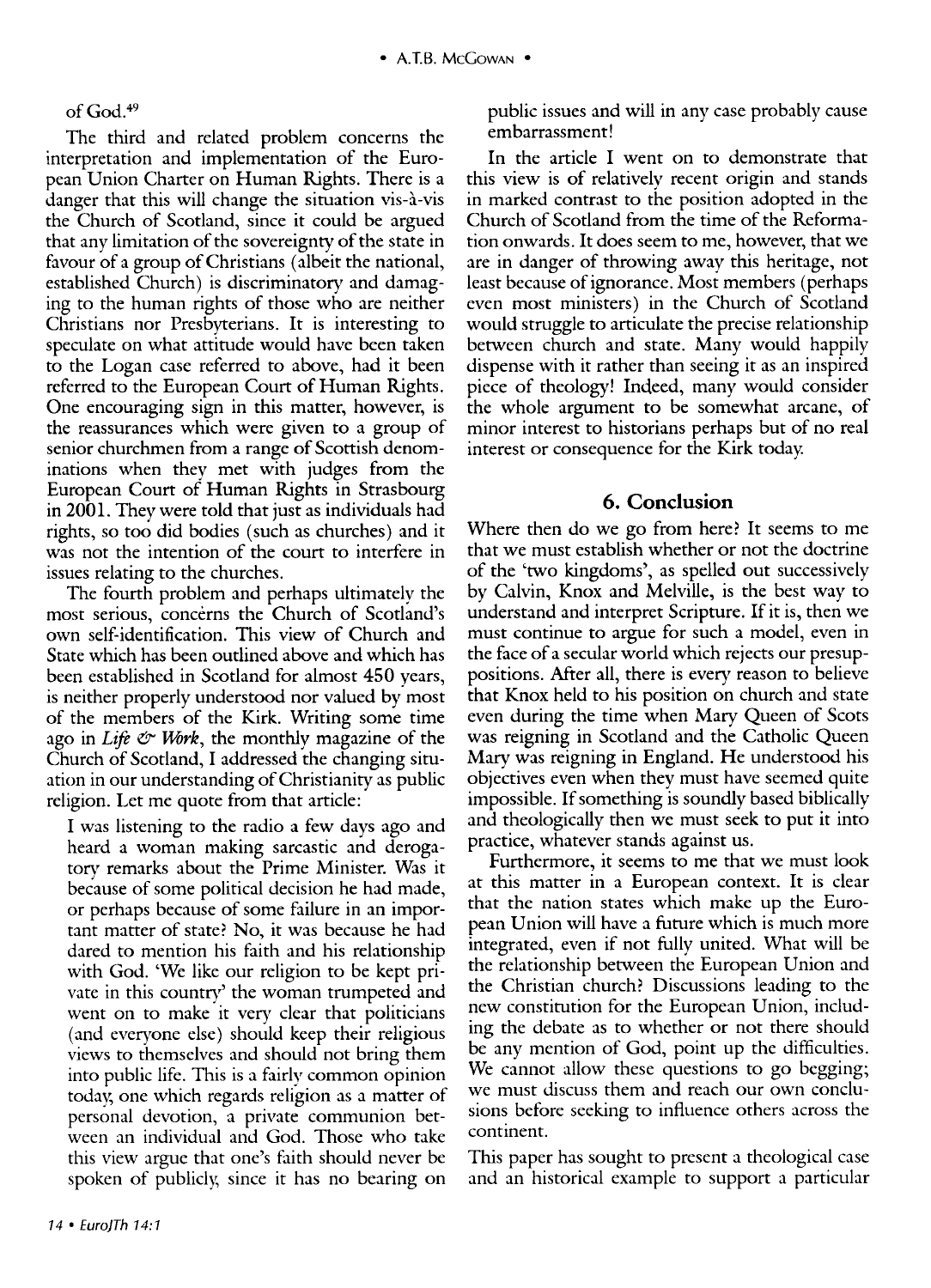#### of God.49

The third and related problem concerns the interpretation and implementation of the European Union Charter on Human Rights. There is a danger that this will change the situation vis-a-vis the Church of Scotland, since it could be argued that any limitation of the sovereignty of the state in favour of a group of Christians (albeit the national, established Church) is discriminatory and damaging to the human rights of those who are neither Christians nor Presbyterians. It is interesting to speculate on what attitude would have been taken to the Logan case referred to above, had it been referred to the European Court of Human Rights. One encouraging sign in this matter, however, is the reassurances which were given to a group of senior churchmen from a range of Scottish denominations when they met with judges from the European Court of Human Rights in Strasbourg in 2001. They were told that just as individuals had rights, so too did bodies (such as churches) and it was not the intention of the court to interfere in issues relating to the churches.

The fourth problem and perhaps ultimately the most serious, concerns the Church of Scotland's own self-identification. This view of Church and State which has been outlined above and which has been established in Scotland for almost 450 years, is neither properly understood nor valued by' most of the members of the Kirk. Writing some time ago in *Life & Work*, the monthly magazine of the Church of Scotland, I addressed the changing situation in our understanding of Christianity as public religion. Let me quote from that article:

I was listening to the radio a few days ago and heard a woman making sarcastic and derogatory remarks about the Prime Minister. Was it because of some political decision he had made, or perhaps because of some failure in an important matter of state? No, it was because he had dared to mention his faith and his relationship with God. 'We like our religion to be kept private in this country' the woman trumpeted and went on to make it very clear that politicians (and everyone else) should keep their religious views to themselves and should not bring them into public life. This is a fairly common opinion today, one which regards religion as a matter of personal devotion, a private communion between an individual and God. Those who take this view argue that one's faith should never be spoken of publicly, since it has no bearing on

public issues and will in any case probably cause embarrassment!

In the article I went on to demonstrate that this view is of relatively recent origin and stands in marked contrast to the position adopted in the Church of Scotland from the time of the Reformation onwards. It does seem to me, however, that we are in danger of throwing away this heritage, not least because of ignorance. Most members (perhaps even most ministers) in the Church of Scotland would struggle to articulate the precise relationship between church and state. Many would happily dispense with it rather than seeing it as an inspired piece of theology! Indeed, many would consider the whole argument to be somewhat arcane, of minor interest to historians perhaps but of no real interest or consequence for the Kirk today.

### **6. Conclusion**

Where then do we go from here? It seems to me that we must establish whether or not the doctrine of the 'two kingdoms', as spelled out successively by Calvin, Knox and Melville, is the best way to understand and interpret Scripture. If it is, then we must continue to argue for such a model, even in the face of a secular world which rejects our presuppositions. Mter all, there is every reason to believe that Knox held to his position on church and state even during the time when Mary Queen of Scots was reigning in Scotland and the Catholic Queen Mary was reigning in England. He understood his objectives even when they must have seemed quite impossible. If something is soundly based biblically and theologically then we must seek to put it into practice, whatever stands against us.

Furthermore, it seems to me that we must look at this matter in a European context. It is clear that the nation states which make up the European Union will have a future which is much more integrated, even if not fully united. What will be the relationship between the European Union and the Christian church? Discussions leading to the new constitution for the European Union, including the debate as to whether or not there should be any mention of God, point up the difficulties. We cannot allow these questions to go begging; we must discuss them and reach our own conclusions before seeking to influence others across the continent.

This paper has sought to present a theological case and an historical example to support a particular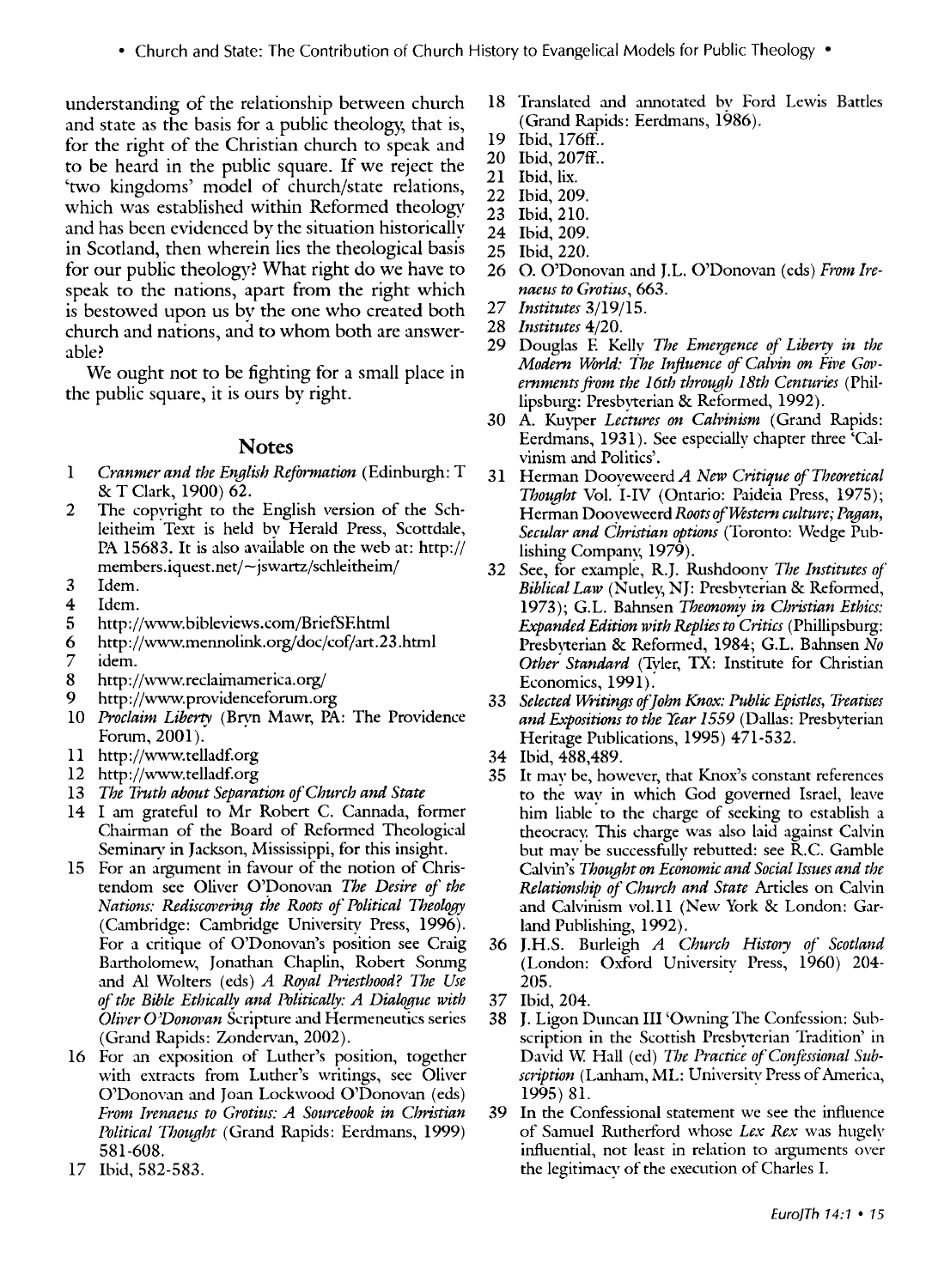understanding of the relationship between church and state as the basis for a public theology, that is, for the right of the Christian church to speak and to be heard in the public square. If we reject the 'two kingdoms' model of church/state relations, which was established within Reformed theology and has been evidenced by the situation historically in Scotland, then wherein lies the theological basis for our public theology? What right do we have to speak to the nations, apart from the right which is bestowed upon us by the one who created both church and nations, and to whom both are answerable?

We ought not to be fighting for a small place in the public square, it is ours by right.

## **Notes**

- 1 *Cranmer and the English Reformation* (Edinburgh: T & T Clark, 1900) 62.
- 2 The copyright to the English version of the Schleitheim Text is held bv Herald Press, Scottdale, PA 15683. It is also available on the web at: http:// members.iquest.net/-jswartz/schleitheim/
- 3 Idem.
- 4 Idem.
- 5 http://www.bibleviews.com/BriefSF.html
- 6 http://www.mennolink.org/doc/cof/art.23.html
- 7 idem.<br>8 http:/
- http://www.reclaimamerica.org/
- 9 http://www.providenceforum.org
- 10 *Proclaim Liberty* (Bryn Mawr, PA: The Providence Forum, 2001).
- 11 http://www.telladf.org
- 12 http://www.telladf.org
- *13 The Truth about Separation of Church and State*
- 14 I am grateful to Mr Robert C. Cannada, former Chairman of the Board of Reformed Theological Seminary in Jackson, Mississippi, for this insight.
- 15 For an argument in favour of the notion of Christendom see Oliver O'Donovan *The Desire of the Nations: Rediscuvering the Roots of Political Theology*  (Cambridge: Cambridge University Press, 1996). For a critique of O'Donovan's position see Craig Bartholomew, Jonathan Chaplin, Robert Sonmg and AI Wolters (eds) *A Royal Priesthood? The Use of the Bible Ethically and Politically: A Dialogue with Oliver O'Donovan* Scripture and Hermeneutics series (Grand Rapids: Zondervan, 2002).
- 16 For an exposition of Luther's position, together with extracts from Luther's writings, see Oliver O'Donovan and Joan Lockwood O'Donovan (eds) *From Irenaeus to Grotius: A Sourcebook in Christian Political Thought* (Grand Rapids: Eerdmans, 1999) 581-608.
- 17 Ibid,582-583.
- 18 Translated and annotated bv Ford Lewis Battles (Grand Rapids: Eerdmans, 1986).
- 19 Ibid, 176ff..
- 20 Ibid, 207ff..
- 21 Ibid,lix.
- 22 Ibid,209.
- 23 Ibid, 210.
- 24 Ibid,209.
- 25 Ibid, 220.
- 26 0. O'Donovan and J.L. O'Donovan (eds) *From Irenaeus to Grotius, 663.*
- *27 Institutes 3/19/15.*
- *28 Institutes 4/20.*
- 29 Douglas F. Kelly *The Emergence of Liberty in the Modern World: The Influence of Calvin on Five Guvernments from the 16th through 18th Centuries* (Phillipsburg: Presbyterian & Reformed, 1992).
- 30 A. Kuyper *Lectures on Calvinism* (Grand Rapids: Eerdmans, 1931). See especially chapter three 'Calvinism and Politics'.
- 31 Herman DooyeweerdA *New Critique of Theoretical Thought* Vol. I-IV (Ontario: Paideia Press, 1975); Herman Dooveweerd *Roots of Western culture; Pagan, Secular and Christian options* (Toronto: Wedge Publishing Company, 1979).
- 32 See, for example, R.J. Rushdoony *The Institutes of Biblical Law* (Nutley, NJ: Presbyterian & Reformed, 1973); G.L. Bahnsen *Theonomy in Christian Ethics: Expanded Edition with Replies to Critics* (Phillipsburg: Presbyterian & Reformed, 1984; G.L. Bahnsen *No*  Other Standard (Tyler, TX: Institute for Christian Economics, 1991).
- *33 Selected Writings ojJohn Knox: Public Epistles, Treatises and Expositions to the Year* 1559 (Dallas: Presbyterian Heritage Publications, 1995) 471-532.
- 34 Ibid,488,489.
- 35 It may be, however, that Knox's constant references to the way in which God governed Israel, leave him liable to the charge of seeking to establish a theocracy. This charge was also laid against Calvin but mav be successfully rebutted: see R.C Gamble Calvin's *Thought on Economic and Social Issues and the Relationship of Church and State* Articles on Calvin and Calvinism vol.ll (New York & London: Garland Publishing, 1992).
- 36 J.H.S. Burleigh *A Church History of Scotland*  (London: Oxford University Press, 1960) 204- 205.
- 37 Ibid, 204.
- 38 J. Ligon Duncan III 'Owning The Confession: Subscription in the Scottish Presbyterian Tradition' in David W. Hall (ed) *The Practice of Confessional Subscription* (Lanham, ML: University Press of America, 1995) 81.
- 39 In the Confessional statement we see the influence of Samuel Rutherford whose *Lex Rex* was hugely influential, not least in relation to arguments over the legitimacy of the execution of Charles I.